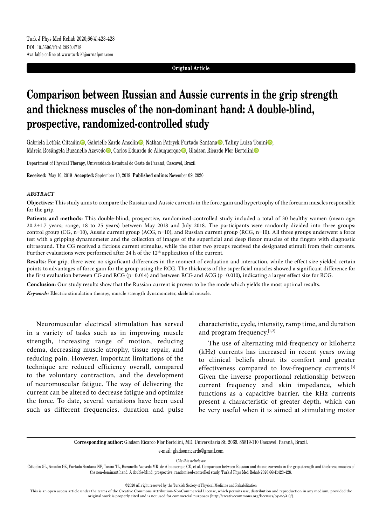## **Original Article**

# **Comparison between Russian and Aussie currents in the grip strength and thickness muscles of the non-dominant hand: A double-blind, prospective, randomized-controlled study**

Gabriela Letícia Cittadin<sup>o</sup>, Gabrielle Zardo Ansolin<sup>o</sup>, Nathan Patryck Furtado Santana<sup>n</sup>o, Taliny Luiza Tonini<sup>n</sup>o, Márcia Rosângela Buzanello Azevedo $\bullet$ , Carlos Eduardo de Albuquerque $\bullet$ , Gladson Ricardo Flor Bertolini $\bullet$ 

Department of Physical Therapy, Universidade Estadual do Oeste do Paraná, Cascavel, Brazil

**Received:** May 10, 2019 **Accepted:** September 10, 2019 **Published online:** November 09, 2020

#### *ABSTRACT*

**Objectives:** This study aims to compare the Russian and Aussie currents in the force gain and hypertrophy of the forearm muscles responsible for the grip.

**Patients and methods:** This double-blind, prospective, randomized-controlled study included a total of 30 healthy women (mean age: 20.2±1.7 years; range, 18 to 25 years) between May 2018 and July 2018. The participants were randomly divided into three groups: control group (CG, n=10), Aussie current group (ACG, n=10), and Russian current group (RCG, n=10). All three groups underwent a force test with a gripping dynamometer and the collection of images of the superficial and deep flexor muscles of the fingers with diagnostic ultrasound. The CG received a fictious current stimulus, while the other two groups received the designated stimuli from their currents. Further evaluations were performed after 24 h of the 12<sup>th</sup> application of the current.

**Results:** For grip, there were no significant differences in the moment of evaluation and interaction, while the effect size yielded certain points to advantages of force gain for the group using the RCG. The thickness of the superficial muscles showed a significant difference for the first evaluation between CG and RCG ( $p=0.014$ ) and between RCG and ACG ( $p=0.010$ ), indicating a larger effect size for RCG.

**Conclusion:** Our study results show that the Russian current is proven to be the mode which yields the most optimal results.

*Keywords:* Electric stimulation therapy, muscle strength dynamometer, skeletal muscle.

Neuromuscular electrical stimulation has served in a variety of tasks such as in improving muscle strength, increasing range of motion, reducing edema, decreasing muscle atrophy, tissue repair, and reducing pain. However, important limitations of the technique are reduced efficiency overall, compared to the voluntary contraction, and the development of neuromuscular fatigue. The way of delivering the current can be altered to decrease fatigue and optimize the force. To date, several variations have been used such as different frequencies, duration and pulse

characteristic, cycle, intensity, ramp time, and duration and program frequency.[1,2]

The use of alternating mid-frequency or kilohertz (kHz) currents has increased in recent years owing to clinical beliefs about its comfort and greater effectiveness compared to low-frequency currents.[3] Given the inverse proportional relationship between current frequency and skin impedance, which functions as a capacitive barrier, the kHz currents present a characteristic of greater depth, which can be very useful when it is aimed at stimulating motor

**Corresponding author:** Gladson Ricardo Flor Bertolini, MD. Universitaria St. 2069. 85819-110 Cascavel. Paraná, Brazil.

e-mail: gladsonricardo@gmail.com

*Cite this article as:*

Cittadin GL, Ansolin GZ, Furtado Santana NP, Tonini TL, Buzanello Azevedo MR, de Albuquerque CE, et al. Comparison between Russian and Aussie currents in the grip strength and thickness muscles of the non-dominant hand: A double-blind, prospective, randomized-controlled study. Turk J Phys Med Rehab 2020;66(4):423-428.

©2020 All right reserved by the Turkish Society of Physical Medicine and Rehabilitation

This is an open access article under the terms of the Creative Commons Attribution-NonCommercial License, which permits use, distribution and reproduction in any medium, provided the original work is properly cited and is not used for commercial purposes (http://creativecommons.org/licenses/by-nc/4.0/).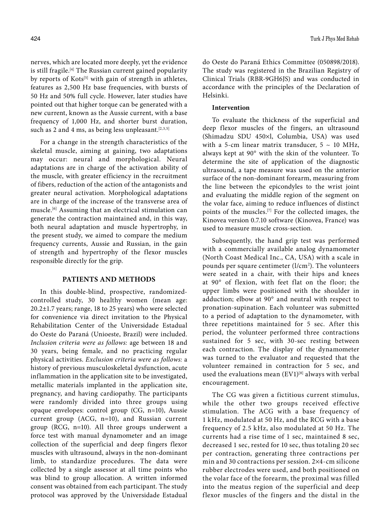nerves, which are located more deeply, yet the evidence is still fragile.<sup>[4]</sup> The Russian current gained popularity by reports of Kots<sup>[5]</sup> with gain of strength in athletes, features as 2,500 Hz base frequencies, with bursts of 50 Hz and 50% full cycle. However, later studies have pointed out that higher torque can be generated with a new current, known as the Aussie current, with a base frequency of 1,000 Hz, and shorter burst duration, such as 2 and 4 ms, as being less unpleasant.  $[2,3,5]$ 

For a change in the strength characteristics of the skeletal muscle, aiming at gaining, two adaptations may occur: neural and morphological. Neural adaptations are in charge of the activation ability of the muscle, with greater efficiency in the recruitment of fibers, reduction of the action of the antagonists and greater neural activation. Morphological adaptations are in charge of the increase of the transverse area of muscle.[6] Assuming that an electrical stimulation can generate the contraction maintained and, in this way, both neural adaptation and muscle hypertrophy, in the present study, we aimed to compare the medium frequency currents, Aussie and Russian, in the gain of strength and hypertrophy of the flexor muscles responsible directly for the grip.

## **PATIENTS AND METHODS**

In this double-blind, prospective, randomizedcontrolled study, 30 healthy women (mean age: 20.2±1.7 years; range, 18 to 25 years) who were selected for convenience via direct invitation to the Physical Rehabilitation Center of the Universidade Estadual do Oeste do Paraná (Unioeste, Brazil) were included. *Inclusion criteria were as follows:* age between 18 and 30 years, being female, and no practicing regular physical activities. *Exclusion criteria were as follows:* a history of previous musculoskeletal dysfunction, acute inflammation in the application site to be investigated, metallic materials implanted in the application site, pregnancy, and having cardiopathy. The participants were randomly divided into three groups using opaque envelopes: control group (CG, n=10), Aussie current group (ACG, n=10), and Russian current group (RCG, n=10). All three groups underwent a force test with manual dynamometer and an image collection of the superficial and deep fingers flexor muscles with ultrasound, always in the non-dominant limb, to standardize procedures. The data were collected by a single assessor at all time points who was blind to group allocation. A written informed consent was obtained from each participant. The study protocol was approved by the Universidade Estadual

do Oeste do Paraná Ethics Committee (050898/2018). The study was registered in the Brazilian Registry of Clinical Trials (RBR-9GH6JS) and was conducted in accordance with the principles of the Declaration of Helsinki.

## **Intervention**

To evaluate the thickness of the superficial and deep flexor muscles of the fingers, an ultrasound (Shimadzu SDU 450¥l, Columbia, USA) was used with a 5-cm linear matrix transducer,  $5 \sim 10$  MHz, always kept at 90° with the skin of the volunteer. To determine the site of application of the diagnostic ultrasound, a tape measure was used on the anterior surface of the non-dominant forearm, measuring from the line between the epicondyles to the wrist joint and evaluating the middle region of the segment on the volar face, aiming to reduce influences of distinct points of the muscles.[7] For the collected images, the Kinovea version 0.7.10 software (Kinovea, France) was used to measure muscle cross-section.

Subsequently, the hand grip test was performed with a commercially available analog dynamometer (North Coast Medical Inc., CA, USA) with a scale in pounds per square centimeter (l/cm<sup>2</sup>). The volunteers were seated in a chair, with their hips and knees at 90° of flexion, with feet flat on the floor; the upper limbs were positioned with the shoulder in adduction; elbow at 90° and neutral with respect to pronation-supination. Each volunteer was submitted to a period of adaptation to the dynamometer, with three repetitions maintained for 5 sec. After this period, the volunteer performed three contractions sustained for 5 sec, with 30-sec resting between each contraction. The display of the dynamometer was turned to the evaluator and requested that the volunteer remained in contraction for 5 sec, and used the evaluations mean  $(EVI)^{[8]}$  always with verbal encouragement.

The CG was given a fictitious current stimulus, while the other two groups received effective stimulation. The ACG with a base frequency of 1 kHz, modulated at 50 Hz, and the RCG with a base frequency of 2.5 kHz, also modulated at 50 Hz. The currents had a rise time of 1 sec, maintained 8 sec, decreased 1 sec, rested for 10 sec, thus totaling 20 sec per contraction, generating three contractions per min and 30 contractions per session. 2¥4-cm silicone rubber electrodes were used, and both positioned on the volar face of the forearm, the proximal was filled into the meatus region of the superficial and deep flexor muscles of the fingers and the distal in the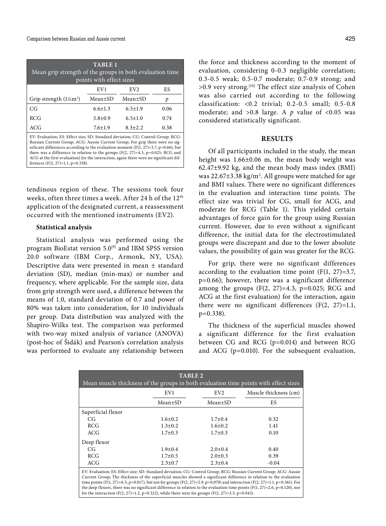| <b>TABLE 1</b><br>Mean grip strength of the groups in both evaluation time<br>points with effect sizes |                 |                 |      |  |  |  |  |
|--------------------------------------------------------------------------------------------------------|-----------------|-----------------|------|--|--|--|--|
|                                                                                                        | EV <sub>1</sub> | EV <sub>2</sub> | ES   |  |  |  |  |
| Grip strength $(1/cm2)$                                                                                | Mean±SD         | $Mean \pm SD$   | р    |  |  |  |  |
| CG                                                                                                     | $6.6 + 1.3$     | $6.5 \pm 1.9$   | 0.06 |  |  |  |  |
| <b>RCG</b>                                                                                             | $5.8 \pm 0.9$   | $6.5 \pm 1.0$   | 0.74 |  |  |  |  |
| ACG                                                                                                    | $7.6 \pm 1.9$   | $8.3 + 2.2$     | 0.38 |  |  |  |  |

EV: Evaluation; ES: Effect size; SD: Standard deviation; CG: Control Group; RCG: Russian Current Group; ACG: Aussie Current Group; For grip there were no significant differences according to the evaluation moment ( $F(1, 27) = 3.7$ , p=0.66), but there was a difference in relation to the groups  $(F(2, 27)=4.3, p=0.025; RCG and$ ACG at the first evaluation) for the interaction, again there were no significant differences (F(2, 27)=1.1, p=0.338).

tendinous region of these. The sessions took four weeks, often three times a week. After 24 h of the 12<sup>th</sup> application of the designated current, a reassessment occurred with the mentioned instruments (EV2).

## **Statistical analysis**

Statistical analysis was performed using the program BioEstat version 5.0[9] and IBM SPSS version 20.0 software (IBM Corp., Armonk, NY, USA). Descriptive data were presented in mean ± standard deviation (SD), median (min-max) or number and frequency, where applicable. For the sample size, data from grip strength were used, a difference between the means of 1.0, standard deviation of 0.7 and power of 80% was taken into consideration, for 10 individuals per group. Data distribution was analyzed with the Shapiro-Wilks test. The comparison was performed with two-way mixed analysis of variance (ANOVA) (post-hoc of Šidák) and Pearson's correlation analysis was performed to evaluate any relationship between the force and thickness according to the moment of evaluation, considering 0-0.3 negligible correlation; 0.3-0.5 weak; 0.5-0.7 moderate; 0.7-0.9 strong; and  $>0.9$  very strong.<sup>[10]</sup> The effect size analysis of Cohen was also carried out according to the following classification: <0.2 trivial; 0.2-0.5 small; 0.5-0.8 moderate; and  $>0.8$  large. A  $p$  value of  $<0.05$  was considered statistically significant.

# **RESULTS**

Of all participants included in the study, the mean height was 1.66±0.06 m, the mean body weight was 62.47±9.92 kg, and the mean body mass index (BMI) was 22.67 $\pm$ 3.38 kg/m<sup>2</sup>. All groups were matched for age and BMI values. There were no significant differences in the evaluation and interaction time points. The effect size was trivial for CG, small for ACG, and moderate for RCG (Table 1). This yielded certain advantages of force gain for the group using Russian current. However, due to even without a significant difference, the initial data for the electrostimulated groups were discrepant and due to the lower absolute values, the possibility of gain was greater for the RCG.

For grip, there were no significant differences according to the evaluation time point  $(F(1, 27)=3.7$ , p=0.66); however, there was a significant difference among the groups  $(F(2, 27)=4.3, p=0.025; RCG and$ ACG at the first evaluation) for the interaction, again there were no significant differences  $(F(2, 27)=1.1,$  $p=0.338$ ).

The thickness of the superficial muscles showed a significant difference for the first evaluation between CG and RCG (p=0.014) and between RCG and ACG (p=0.010). For the subsequent evaluation,

| <b>TABLE 2</b>                                                                                                                                                                                                                               |               |                 |                       |  |  |  |  |  |
|----------------------------------------------------------------------------------------------------------------------------------------------------------------------------------------------------------------------------------------------|---------------|-----------------|-----------------------|--|--|--|--|--|
| Mean muscle thickness of the groups in both evaluation time points with effect sizes                                                                                                                                                         |               |                 |                       |  |  |  |  |  |
|                                                                                                                                                                                                                                              | EV1           | EV <sub>2</sub> | Muscle thickness (cm) |  |  |  |  |  |
|                                                                                                                                                                                                                                              | Mean±SD       | Mean±SD         | ES                    |  |  |  |  |  |
| Superficial flexor                                                                                                                                                                                                                           |               |                 |                       |  |  |  |  |  |
| CG                                                                                                                                                                                                                                           | $1.6 \pm 0.2$ | $1.7 \pm 0.4$   | 0.32                  |  |  |  |  |  |
| RCG                                                                                                                                                                                                                                          | $1.3 \pm 0.2$ | $1.6 \pm 0.2$   | 1.41                  |  |  |  |  |  |
| ACG                                                                                                                                                                                                                                          | $1.7 \pm 0.3$ | $1.7 \pm 0.3$   | 0.10                  |  |  |  |  |  |
| Deep flexor                                                                                                                                                                                                                                  |               |                 |                       |  |  |  |  |  |
| CG                                                                                                                                                                                                                                           | $1.9 + 0.4$   | $2.0 \pm 0.4$   | 0.40                  |  |  |  |  |  |
| RCG                                                                                                                                                                                                                                          | $1.7 \pm 0.5$ | $2.0 \pm 0.3$   | 0.39                  |  |  |  |  |  |
| ACG                                                                                                                                                                                                                                          | $2.3 \pm 0.7$ | $2.3 \pm 0.4$   | $-0.04$               |  |  |  |  |  |
| EV: Evaluation; ES: Effect size; SD: Standard deviation; CG: Control Group; RCG: Russian Current Group; ACG: Aussie<br>Current Group; The thickness of the superficial muscles showed a significant difference in relation to the evaluation |               |                 |                       |  |  |  |  |  |
| time points (F(1, 27)=6.5, p=0.017), but not for groups (F(2, 27)=2.9, p=0.070) and interaction (F(2, 27)=1.1, p=0.361). For                                                                                                                 |               |                 |                       |  |  |  |  |  |
| the deep flexors, there was no significant difference in relation to the evaluation time points $(F(1, 27)=2.6, p=0.120)$ , nor                                                                                                              |               |                 |                       |  |  |  |  |  |

for the interaction (F(2, 27)=1.2, p=0.322), while there were for groups (F(2, 27)=3.5, p=0.043).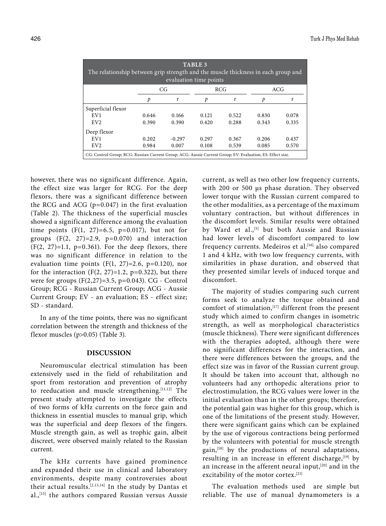| TABLE <sub>3</sub><br>The relationship between grip strength and the muscle thickness in each group and<br>evaluation time points |       |          |            |       |       |       |  |  |
|-----------------------------------------------------------------------------------------------------------------------------------|-------|----------|------------|-------|-------|-------|--|--|
|                                                                                                                                   | CG    |          | <b>RCG</b> |       | ACG   |       |  |  |
|                                                                                                                                   | p     | r        | D          | r     | p     | r     |  |  |
| Superficial flexor                                                                                                                |       |          |            |       |       |       |  |  |
| EV1                                                                                                                               | 0.646 | 0.166    | 0.121      | 0.522 | 0.830 | 0.078 |  |  |
| EV <sub>2</sub>                                                                                                                   | 0.390 | 0.390    | 0.420      | 0.288 | 0.343 | 0.335 |  |  |
| Deep flexor                                                                                                                       |       |          |            |       |       |       |  |  |
| EV1                                                                                                                               | 0.202 | $-0.297$ | 0.297      | 0.367 | 0.206 | 0.437 |  |  |
| EV <sub>2</sub>                                                                                                                   | 0.984 | 0.007    | 0.108      | 0.539 | 0.085 | 0.570 |  |  |
| CG: Control Group; RCG: Russian Current Group; ACG: Aussie Current Group; EV: Evaluation; ES: Effect size.                        |       |          |            |       |       |       |  |  |

however, there was no significant difference. Again, the effect size was larger for RCG. For the deep flexors, there was a significant difference between the RCG and ACG (p=0.047) in the first evaluation (Table 2). The thickness of the superficial muscles showed a significant difference among the evaluation time points  $(F(1, 27)=6.5, p=0.017)$ , but not for groups  $(F(2, 27)=2.9, p=0.070)$  and interaction  $(F(2, 27)=1.1, p=0.361)$ . For the deep flexors, there was no significant difference in relation to the evaluation time points  $(F(1, 27)=2.6, p=0.120)$ , nor for the interaction (F(2, 27)=1.2, p=0.322), but there were for groups  $(F(2,27)=3.5, p=0.043)$ . CG - Control Group; RCG - Russian Current Group; ACG - Aussie Current Group; EV - an evaluation; ES - effect size; SD - standard.

In any of the time points, there was no significant correlation between the strength and thickness of the flexor muscles (p>0.05) (Table 3).

## **DISCUSSION**

Neuromuscular electrical stimulation has been extensively used in the field of rehabilitation and sport from restoration and prevention of atrophy to reeducation and muscle strengthening.[11,12] The present study attempted to investigate the effects of two forms of kHz currents on the force gain and thickness in essential muscles to manual grip, which was the superficial and deep flexors of the fingers. Muscle strength gain, as well as trophic gain, albeit discreet, were observed mainly related to the Russian current.

The kHz currents have gained prominence and expanded their use in clinical and laboratory environments, despite many controversies about their actual results.[2,13,14] In the study by Dantas et al.,<sup>[15]</sup> the authors compared Russian versus Aussie current, as well as two other low frequency currents, with 200 or 500 μs phase duration. They observed lower torque with the Russian current compared to the other modalities, as a percentage of the maximum voluntary contraction, but without differences in the discomfort levels. Similar results were obtained by Ward et al.,<sup>[5]</sup> but both Aussie and Russian had lower levels of discomfort compared to low frequency currents. Medeiros et al.<sup>[16]</sup> also compared 1 and 4 kHz, with two low frequency currents, with similarities in phase duration, and observed that they presented similar levels of induced torque and discomfort.

The majority of studies comparing such current forms seek to analyze the torque obtained and comfort of stimulation,<sup>[17]</sup> different from the present study which aimed to confirm changes in isometric strength, as well as morphological characteristics (muscle thickness). There were significant differences with the therapies adopted, although there were no significant differences for the interaction, and there were differences between the groups, and the effect size was in favor of the Russian current group. It should be taken into account that, although no volunteers had any orthopedic alterations prior to electrostimulation, the RCG values were lower in the initial evaluation than in the other groups; therefore, the potential gain was higher for this group, which is one of the limitations of the present study. However, there were significant gains which can be explained by the use of vigorous contractions being performed by the volunteers with potential for muscle strength gain,<sup>[18]</sup> by the productions of neural adaptations, resulting in an increase in efferent discharge,  $[19]$  by an increase in the afferent neural input,<sup>[20]</sup> and in the excitability of the motor cortex.[21]

The evaluation methods used are simple but reliable. The use of manual dynamometers is a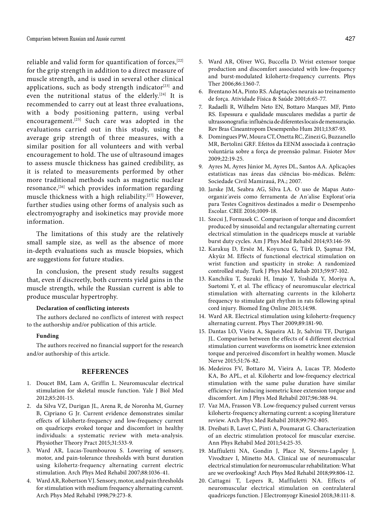reliable and valid form for quantification of forces,<sup>[22]</sup> for the grip strength in addition to a direct measure of muscle strength, and is used in several other clinical applications, such as body strength indicator $[23]$  and even the nutritional status of the elderly.<sup>[24]</sup> It is recommended to carry out at least three evaluations, with a body positioning pattern, using verbal encouragement.<sup>[25]</sup> Such care was adopted in the evaluations carried out in this study, using the average grip strength of three measures, with a similar position for all volunteers and with verbal encouragement to hold. The use of ultrasound images to assess muscle thickness has gained credibility, as it is related to measurements performed by other more traditional methods such as magnetic nuclear resonance, $[26]$  which provides information regarding muscle thickness with a high reliability.[27] However, further studies using other forms of analysis such as electromyography and isokinetics may provide more information.

The limitations of this study are the relatively small sample size, as well as the absence of more in-depth evaluations such as muscle biopsies, which are suggestions for future studies.

In conclusion, the present study results suggest that, even if discreetly, both currents yield gains in the muscle strength, while the Russian current is able to produce muscular hypertrophy.

### **Declaration of conflicting interests**

The authors declared no conflicts of interest with respect to the authorship and/or publication of this article.

#### **Funding**

The authors received no financial support for the research and/or authorship of this article.

# **REFERENCES**

- 1. Doucet BM, Lam A, Griffin L. Neuromuscular electrical stimulation for skeletal muscle function. Yale J Biol Med 2012;85:201-15.
- 2. da Silva VZ, Durigan JL, Arena R, de Noronha M, Gurney B, Cipriano G Jr. Current evidence demonstrates similar effects of kilohertz-frequency and low-frequency current on quadriceps evoked torque and discomfort in healthy individuals: a systematic review with meta-analysis. Physiother Theory Pract 2015;31:533-9.
- 3. Ward AR, Lucas-Toumbourou S. Lowering of sensory, motor, and pain-tolerance thresholds with burst duration using kilohertz-frequency alternating current electric stimulation. Arch Phys Med Rehabil 2007;88:1036-41.
- 4. Ward AR, Robertson VJ. Sensory, motor, and pain thresholds for stimulation with medium frequency alternating current. Arch Phys Med Rehabil 1998;79:273-8.
- 5. Ward AR, Oliver WG, Buccella D. Wrist extensor torque production and discomfort associated with low-frequency and burst-modulated kilohertz-frequency currents. Phys Ther 2006;86:1360-7.
- 6. Brentano MA, Pinto RS. Adaptações neurais ao treinamento de força. Atividade Física & Saúde 2001;6:65-77.
- 7. Radaelli R, Wilhelm Neto EN, Bottaro Marques MF, Pinto RS. Espessura e qualidade musculares medidas a partir de ultrassonografia: influência de diferentes locais de mensuração. Rev Bras Cineantropom Desempenho Hum 2011;13:87-93.
- 8. Domingues PW, Moura CT, Onetta RC, Zinezi G, Buzzanello MR, Bertolini GRF. Efeitos da EENM associada à contração voluntária sobre a força de preensão palmar. Fisioter Mov 2009;22:19-25.
- 9. Ayres M, Ayres Júnior M, Ayres DL, Santos AA. Aplicações estatísticas nas áreas das ciências bio-médicas. Belém: Sociedade Civil Mamirauá, PA.; 2007.
- 10. Jarske JM, Seabra AG, Silva LA. O uso de Mapas Autoorganiz´aveis como ferramenta de An´alise Explorat´oria para Testes Cognitivos destinados a medir o Desempenho Escolar. CBIE 2016;1009-18.
- 11. Szecsi J, Fornusek C. Comparison of torque and discomfort produced by sinusoidal and rectangular alternating current electrical stimulation in the quadriceps muscle at variable burst duty cycles. Am J Phys Med Rehabil 2014;93:146-59.
- 12. Karakuş D, Ersöz M, Koyuncu G, Türk D, Şaşmaz FM, Akyüz M. Effects of functional electrical stimulation on wrist function and spasticity in stroke: A randomized controlled study. Turk J Phys Med Rehab 2013;59:97-102.
- 13. Kanchiku T, Suzuki H, Imajo Y, Yoshida Y, Moriya A, Suetomi Y, et al. The efficacy of neuromuscular electrical stimulation with alternating currents in the kilohertz frequency to stimulate gait rhythm in rats following spinal cord injury. Biomed Eng Online 2015;14:98.
- 14. Ward AR. Electrical stimulation using kilohertz-frequency alternating current. Phys Ther 2009;89:181-90.
- 15. Dantas LO, Vieira A, Siqueira AL Jr, Salvini TF, Durigan JL. Comparison between the effects of 4 different electrical stimulation current waveforms on isometric knee extension torque and perceived discomfort in healthy women. Muscle Nerve 2015;51:76-82.
- 16. Medeiros FV, Bottaro M, Vieira A, Lucas TP, Modesto KA, Bo APL, et al. Kilohertz and low-frequency electrical stimulation with the same pulse duration have similar efficiency for inducing isometric knee extension torque and discomfort. Am J Phys Med Rehabil 2017;96:388-94.
- 17. Vaz MA, Frasson VB. Low-frequency pulsed current versus kilohertz-frequency alternating current: a scoping literature review. Arch Phys Med Rehabil 2018;99:792-805.
- 18. Dreibati B, Lavet C, Pinti A, Poumarat G. Characterization of an electric stimulation protocol for muscular exercise. Ann Phys Rehabil Med 2011;54:25-35.
- 19. Maffiuletti NA, Gondin J, Place N, Stevens-Lapsley J, Vivodtzev I, Minetto MA. Clinical use of neuromuscular electrical stimulation for neuromuscular rehabilitation: What are we overlooking? Arch Phys Med Rehabil 2018;99:806-12.
- 20. Cattagni T, Lepers R, Maffiuletti NA. Effects of neuromuscular electrical stimulation on contralateral quadriceps function. J Electromyogr Kinesiol 2018;38:111-8.